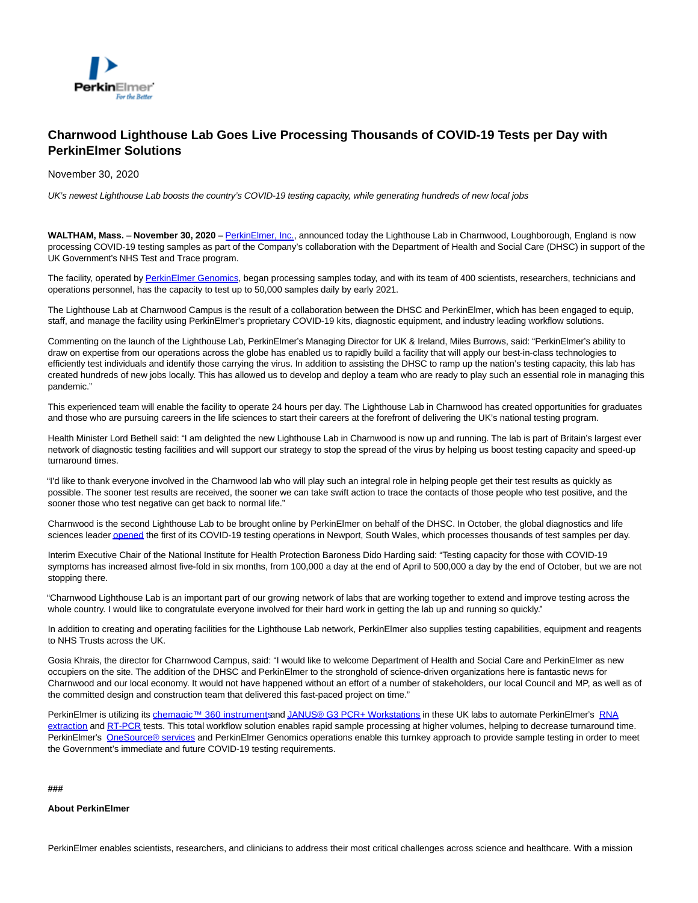

## **Charnwood Lighthouse Lab Goes Live Processing Thousands of COVID-19 Tests per Day with PerkinElmer Solutions**

November 30, 2020

UK's newest Lighthouse Lab boosts the country's COVID-19 testing capacity, while generating hundreds of new local jobs

**WALTHAM, Mass.** – **November 30, 2020** – [PerkinElmer, Inc.,](http://www.perkinelmer.com/) announced today the Lighthouse Lab in Charnwood, Loughborough, England is now processing COVID-19 testing samples as part of the Company's collaboration with the Department of Health and Social Care (DHSC) in support of the UK Government's NHS Test and Trace program.

The facility, operated by [PerkinElmer Genomics,](https://www.perkinelmergenomics.com/) began processing samples today, and with its team of 400 scientists, researchers, technicians and operations personnel, has the capacity to test up to 50,000 samples daily by early 2021.

The Lighthouse Lab at Charnwood Campus is the result of a collaboration between the DHSC and PerkinElmer, which has been engaged to equip, staff, and manage the facility using PerkinElmer's proprietary COVID-19 kits, diagnostic equipment, and industry leading workflow solutions.

Commenting on the launch of the Lighthouse Lab, PerkinElmer's Managing Director for UK & Ireland, Miles Burrows, said: "PerkinElmer's ability to draw on expertise from our operations across the globe has enabled us to rapidly build a facility that will apply our best-in-class technologies to efficiently test individuals and identify those carrying the virus. In addition to assisting the DHSC to ramp up the nation's testing capacity, this lab has created hundreds of new jobs locally. This has allowed us to develop and deploy a team who are ready to play such an essential role in managing this pandemic."

This experienced team will enable the facility to operate 24 hours per day. The Lighthouse Lab in Charnwood has created opportunities for graduates and those who are pursuing careers in the life sciences to start their careers at the forefront of delivering the UK's national testing program.

Health Minister Lord Bethell said: "I am delighted the new Lighthouse Lab in Charnwood is now up and running. The lab is part of Britain's largest ever network of diagnostic testing facilities and will support our strategy to stop the spread of the virus by helping us boost testing capacity and speed-up turnaround times.

"I'd like to thank everyone involved in the Charnwood lab who will play such an integral role in helping people get their test results as quickly as possible. The sooner test results are received, the sooner we can take swift action to trace the contacts of those people who test positive, and the sooner those who test negative can get back to normal life."

Charnwood is the second Lighthouse Lab to be brought online by PerkinElmer on behalf of the DHSC. In October, the global diagnostics and life sciences leade[r opened t](https://ir.perkinelmer.com/news-releases/news-release-details/newport-wales-laboratory-goes-live-first-lighthouse-lab)he first of its COVID-19 testing operations in Newport, South Wales, which processes thousands of test samples per day.

Interim Executive Chair of the National Institute for Health Protection Baroness Dido Harding said: "Testing capacity for those with COVID-19 symptoms has increased almost five-fold in six months, from 100,000 a day at the end of April to 500,000 a day by the end of October, but we are not stopping there.

"Charnwood Lighthouse Lab is an important part of our growing network of labs that are working together to extend and improve testing across the whole country. I would like to congratulate everyone involved for their hard work in getting the lab up and running so quickly."

In addition to creating and operating facilities for the Lighthouse Lab network, PerkinElmer also supplies testing capabilities, equipment and reagents to NHS Trusts across the UK.

Gosia Khrais, the director for Charnwood Campus, said: "I would like to welcome Department of Health and Social Care and PerkinElmer as new occupiers on the site. The addition of the DHSC and PerkinElmer to the stronghold of science-driven organizations here is fantastic news for Charnwood and our local economy. It would not have happened without an effort of a number of stakeholders, our local Council and MP, as well as of the committed design and construction team that delivered this fast-paced project on time."

PerkinElmer is utilizing it[s chemagic™ 360 instruments a](https://www.perkinelmer.com/product/chemagic-360-2024-0020)n[d JANUS® G3 PCR+ Workstations i](https://perkinelmer-appliedgenomics.com/home/products/janus-g3-workstations-for-sars-cov-2-testing/)n these UK labs to automate PerkinElmer's [RNA](https://chemagen.com/Instruments/100-chemagic-360-instrument/) extraction an[d RT-PCR t](https://perkinelmer-appliedgenomics.com/home/products/new-coronavirus-2019-ncov-nucleic-acid-detection-kit/)ests. This total workflow solution enables rapid sample processing at higher volumes, helping to decrease turnaround time. PerkinElmer's [OneSource® services a](https://www.perkinelmer.com/product/perkinelmer-instruments-support-services-onepkiins)nd PerkinElmer Genomics operations enable this turnkey approach to provide sample testing in order to meet the Government's immediate and future COVID-19 testing requirements.

## **###**

**About PerkinElmer**

PerkinElmer enables scientists, researchers, and clinicians to address their most critical challenges across science and healthcare. With a mission